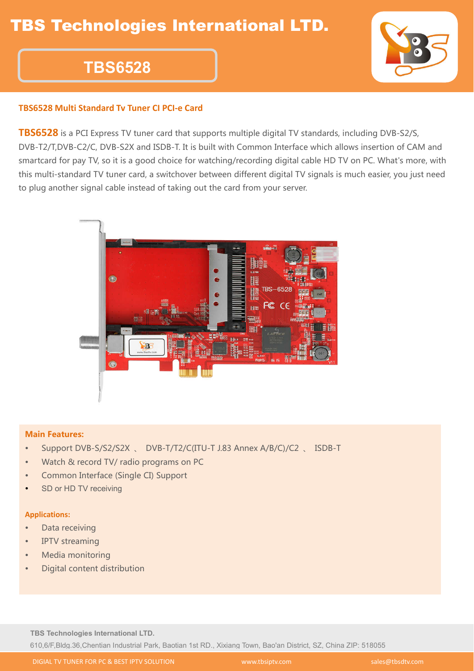# **TBS6528**

### **TBS6528 Multi Standard Tv Tuner CI PCI-e Card**

**TBS6528** is a PCI Express TV tuner card that supports multiple digital TV standards, including DVB-S2/S, DVB-T2/T,DVB-C2/C, DVB-S2X and ISDB-T. It is built with Common Interface which allows insertion of CAM and smartcard for pay TV, so it is a good choice for watching/recording digital cable HD TV on PC. What's more, with this multi-standard TV tuner card, a switchover between different digital TV signals is much easier, you just need to plug another signal cable instead of taking out the card from your server.



#### Main Features:

- Support DVB-S/S2/S2X 、 DVB-T/T2/C(ITU-T J.83 Annex A/B/C)/C2 、 ISDB-T
- Watch & record TV/ radio programs on PC
- Common Interface (Single CI) Support
- SD or HD TV receiving

#### **Applications:**

- Data receiving
- IPTV streaming
- Media monitoring
- Digital content distribution

**TBS Technologies International LTD.**

610,6/F,Bldg.36,Chentian Industrial Park, Baotian 1st RD., Xixiang Town, Bao'an District, SZ, China ZIP: 518055

DIGIAL TV TUNER FOR PC & BEST IPTV SOLUTION www.tbsiptv.com sales@tbsdtv.com

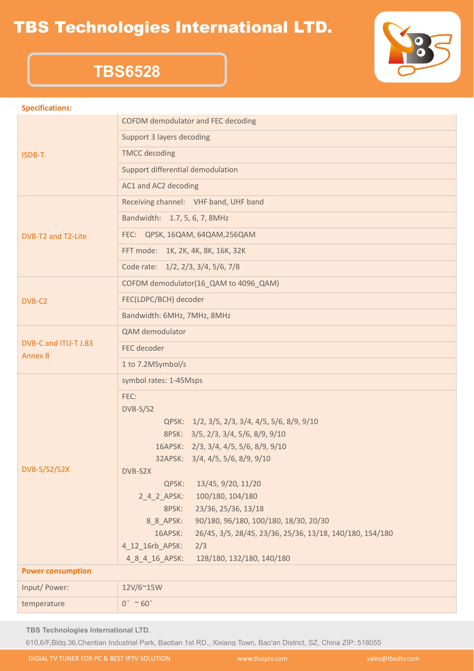### TBS Technologies International LTD.



### **TBS6528**

#### **Specifications:**

|                                        | COFDM demodulator and FEC decoding                                           |  |
|----------------------------------------|------------------------------------------------------------------------------|--|
| ISDB-T                                 | Support 3 layers decoding                                                    |  |
|                                        | <b>TMCC</b> decoding                                                         |  |
|                                        | Support differential demodulation                                            |  |
| DVB-T2 and T2-Lite                     | AC1 and AC2 decoding                                                         |  |
|                                        | Receiving channel: VHF band, UHF band                                        |  |
|                                        | Bandwidth: 1.7, 5, 6, 7, 8MHz                                                |  |
|                                        | FEC: QPSK, 16QAM, 64QAM, 256QAM                                              |  |
|                                        | FFT mode: 1K, 2K, 4K, 8K, 16K, 32K                                           |  |
| DVB-C2                                 | Code rate: 1/2, 2/3, 3/4, 5/6, 7/8                                           |  |
|                                        | COFDM demodulator(16_QAM to 4096_QAM)                                        |  |
|                                        | FEC(LDPC/BCH) decoder                                                        |  |
| DVB-C and ITU-T J.83<br><b>Annex B</b> | Bandwidth: 6MHz, 7MHz, 8MHz                                                  |  |
|                                        | QAM demodulator                                                              |  |
|                                        | FEC decoder                                                                  |  |
| DVB-S/S2/S2X                           | 1 to 7.2MSymbol/s                                                            |  |
|                                        | symbol rates: 1-45Msps                                                       |  |
|                                        | FEC:                                                                         |  |
|                                        | DVB-S/S2                                                                     |  |
|                                        | QPSK: 1/2, 3/5, 2/3, 3/4, 4/5, 5/6, 8/9, 9/10                                |  |
|                                        | 8PSK: 3/5, 2/3, 3/4, 5/6, 8/9, 9/10<br>16APSK: 2/3, 3/4, 4/5, 5/6, 8/9, 9/10 |  |
|                                        |                                                                              |  |
|                                        | 32APSK: 3/4, 4/5, 5/6, 8/9, 9/10<br>DVB-S2X                                  |  |
|                                        | QPSK:<br>13/45, 9/20, 11/20                                                  |  |
|                                        | 100/180, 104/180<br>2 4 2 APSK:                                              |  |
|                                        | 23/36, 25/36, 13/18<br>8PSK:                                                 |  |
|                                        | 90/180, 96/180, 100/180, 18/30, 20/30<br>8_8_APSK:                           |  |
|                                        | 16APSK:<br>26/45, 3/5, 28/45, 23/36, 25/36, 13/18, 140/180, 154/180          |  |
|                                        | 4_12_16rb_APSK:<br>2/3                                                       |  |
|                                        | 4 8 4 16 APSK:<br>128/180, 132/180, 140/180                                  |  |
| <b>Power consumption</b>               |                                                                              |  |
| Input/ Power:                          | 12V/6~15W                                                                    |  |
| temperature                            | $0^\circ \sim 60^\circ$                                                      |  |

**TBS Technologies International LTD.**

610,6/F,Bldg.36,Chentian Industrial Park, Baotian 1st RD., Xixiang Town, Bao'an District, SZ, China ZIP: 518055